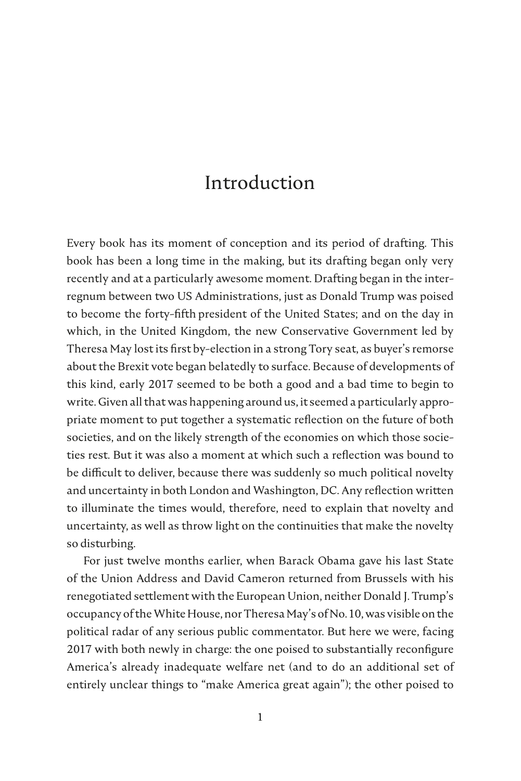## Introduction

Every book has its moment of conception and its period of drafting. This book has been a long time in the making, but its drafting began only very recently and at a particularly awesome moment. Drafting began in the interregnum between two US Administrations, just as Donald Trump was poised to become the forty-fifth president of the United States; and on the day in which, in the United Kingdom, the new Conservative Government led by Theresa May lost its first by-election in a strong Tory seat, as buyer's remorse about the Brexit vote began belatedly to surface. Because of developments of this kind, early 2017 seemed to be both a good and a bad time to begin to write. Given all that was happening around us, it seemed a particularly appropriate moment to put together a systematic reflection on the future of both societies, and on the likely strength of the economies on which those societies rest. But it was also a moment at which such a reflection was bound to be difficult to deliver, because there was suddenly so much political novelty and uncertainty in both London and Washington, DC. Any reflection written to illuminate the times would, therefore, need to explain that novelty and uncertainty, as well as throw light on the continuities that make the novelty so disturbing.

For just twelve months earlier, when Barack Obama gave his last State of the Union Address and David Cameron returned from Brussels with his renegotiated settlement with the European Union, neither Donald J. Trump's occupancy of the White House, nor Theresa May's of No. 10, was visible on the political radar of any serious public commentator. But here we were, facing 2017 with both newly in charge: the one poised to substantially reconfigure America's already inadequate welfare net (and to do an additional set of entirely unclear things to "make America great again"); the other poised to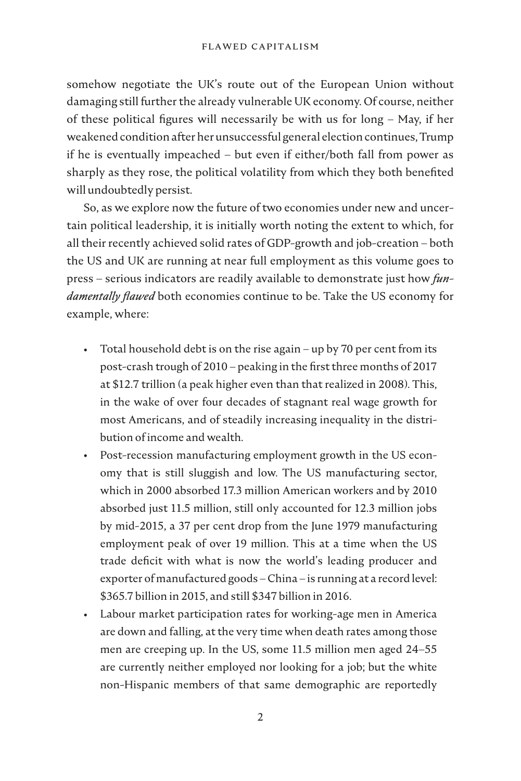somehow negotiate the UK's route out of the European Union without damaging still further the already vulnerable UK economy. Of course, neither of these political figures will necessarily be with us for long – May, if her weakened condition after her unsuccessful general election continues, Trump if he is eventually impeached – but even if either/both fall from power as sharply as they rose, the political volatility from which they both benefited will undoubtedly persist.

So, as we explore now the future of two economies under new and uncertain political leadership, it is initially worth noting the extent to which, for all their recently achieved solid rates of GDP-growth and job-creation – both the US and UK are running at near full employment as this volume goes to press – serious indicators are readily available to demonstrate just how *fundamentally flawed* both economies continue to be. Take the US economy for example, where:

- Total household debt is on the rise again up by 70 per cent from its post-crash trough of 2010 – peaking in the first three months of 2017 at \$12.7 trillion (a peak higher even than that realized in 2008). This, in the wake of over four decades of stagnant real wage growth for most Americans, and of steadily increasing inequality in the distribution of income and wealth.
- Post-recession manufacturing employment growth in the US economy that is still sluggish and low. The US manufacturing sector, which in 2000 absorbed 17.3 million American workers and by 2010 absorbed just 11.5 million, still only accounted for 12.3 million jobs by mid-2015, a 37 per cent drop from the June 1979 manufacturing employment peak of over 19 million. This at a time when the US trade deficit with what is now the world's leading producer and exporter of manufactured goods – China – is running at a record level: \$365.7 billion in 2015, and still \$347 billion in 2016.
- Labour market participation rates for working-age men in America are down and falling, at the very time when death rates among those men are creeping up. In the US, some 11.5 million men aged 24–55 are currently neither employed nor looking for a job; but the white non-Hispanic members of that same demographic are reportedly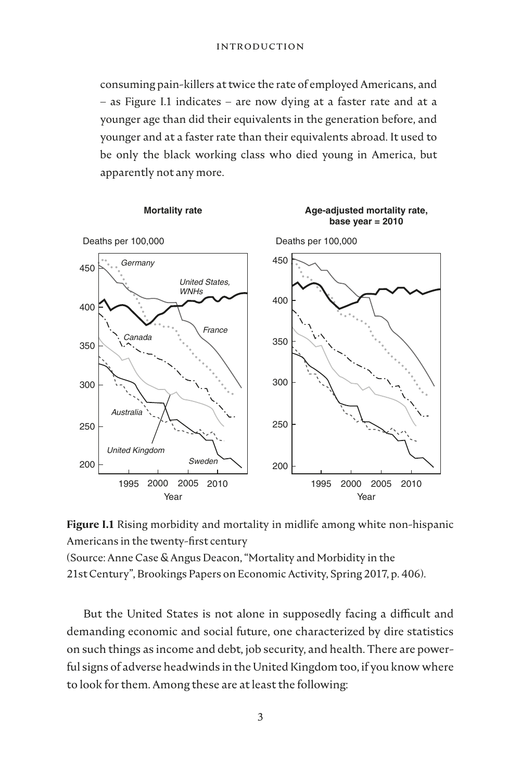consuming pain-killers at twice the rate of employed Americans, and – as Figure I.1 indicates – are now dying at a faster rate and at a younger age than did their equivalents in the generation before, and younger and at a faster rate than their equivalents abroad. It used to be only the black working class who died young in America, but apparently not any more.





(Source: Anne Case & Angus Deacon, "Mortality and Morbidity in the 21st Century", Brookings Papers on Economic Activity, Spring 2017, p. 406).

But the United States is not alone in supposedly facing a difficult and demanding economic and social future, one characterized by dire statistics on such things as income and debt, job security, and health. There are powerful signs of adverse headwinds in the United Kingdom too, if you know where to look for them. Among these are at least the following: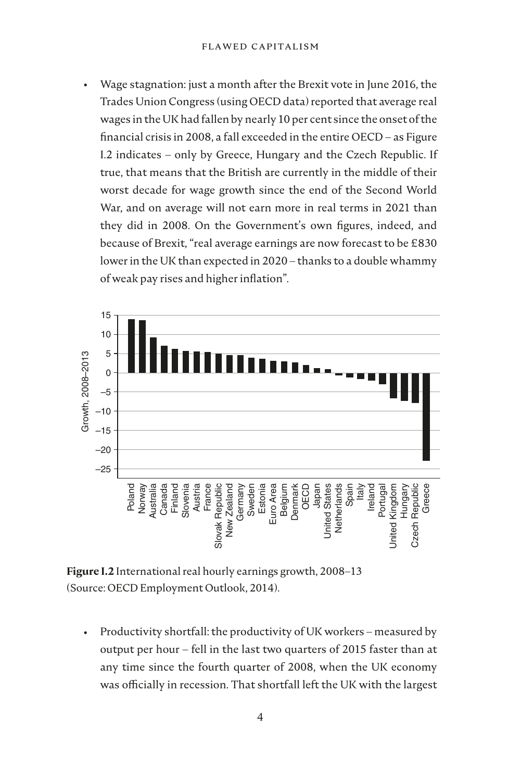• Wage stagnation: just a month after the Brexit vote in June 2016, the Trades Union Congress (using OECD data) reported that average real wages in the UK had fallen by nearly 10 per cent since the onset of the financial crisis in 2008, a fall exceeded in the entire OECD – as Figure I.2 indicates – only by Greece, Hungary and the Czech Republic. If true, that means that the British are currently in the middle of their worst decade for wage growth since the end of the Second World War, and on average will not earn more in real terms in 2021 than they did in 2008. On the Government's own figures, indeed, and because of Brexit, "real average earnings are now forecast to be £830 lower in the UK than expected in 2020 – thanks to a double whammy of weak pay rises and higher inflation".



**Figure I.2** International real hourly earnings growth, 2008–13 (Source: OECD Employment Outlook, 2014).

• Productivity shortfall: the productivity of UK workers – measured by output per hour – fell in the last two quarters of 2015 faster than at any time since the fourth quarter of 2008, when the UK economy was officially in recession. That shortfall left the UK with the largest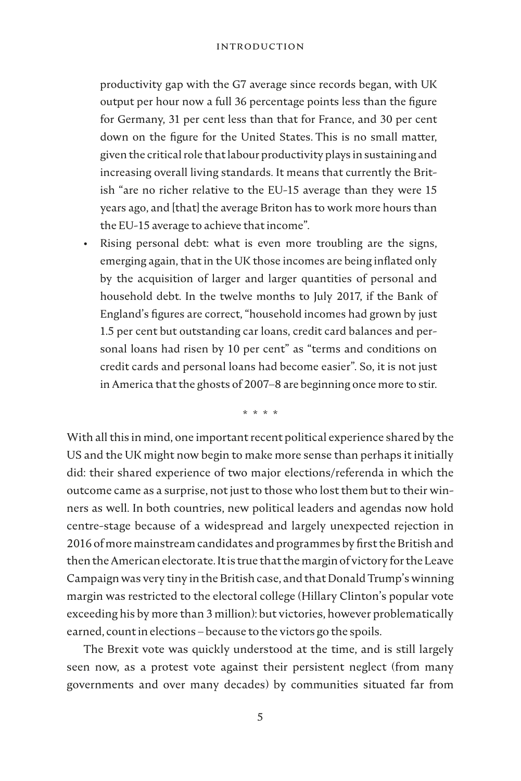## Introduction

productivity gap with the G7 average since records began, with UK output per hour now a full 36 percentage points less than the figure for Germany, 31 per cent less than that for France, and 30 per cent down on the figure for the United States. This is no small matter, given the critical role that labour productivity plays in sustaining and increasing overall living standards. It means that currently the British "are no richer relative to the EU-15 average than they were 15 years ago, and [that] the average Briton has to work more hours than the EU-15 average to achieve that income".

• Rising personal debt: what is even more troubling are the signs, emerging again, that in the UK those incomes are being inflated only by the acquisition of larger and larger quantities of personal and household debt. In the twelve months to July 2017, if the Bank of England's figures are correct, "household incomes had grown by just 1.5 per cent but outstanding car loans, credit card balances and personal loans had risen by 10 per cent" as "terms and conditions on credit cards and personal loans had become easier". So, it is not just in America that the ghosts of 2007–8 are beginning once more to stir.

\*\*\*\*

With all this in mind, one important recent political experience shared by the US and the UK might now begin to make more sense than perhaps it initially did: their shared experience of two major elections/referenda in which the outcome came as a surprise, not just to those who lost them but to their winners as well. In both countries, new political leaders and agendas now hold centre-stage because of a widespread and largely unexpected rejection in 2016 of more mainstream candidates and programmes by first the British and then the American electorate. It is true that the margin of victory for the Leave Campaign was very tiny in the British case, and that Donald Trump's winning margin was restricted to the electoral college (Hillary Clinton's popular vote exceeding his by more than 3 million): but victories, however problematically earned, count in elections – because to the victors go the spoils.

The Brexit vote was quickly understood at the time, and is still largely seen now, as a protest vote against their persistent neglect (from many governments and over many decades) by communities situated far from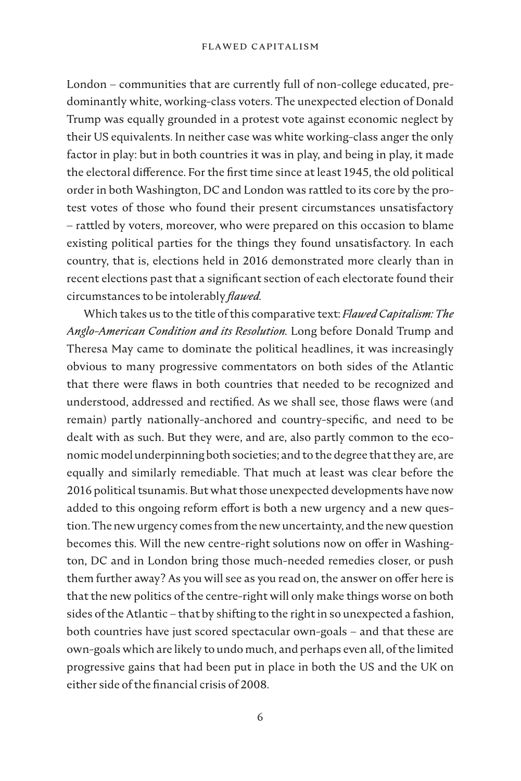London – communities that are currently full of non-college educated, predominantly white, working-class voters. The unexpected election of Donald Trump was equally grounded in a protest vote against economic neglect by their US equivalents. In neither case was white working-class anger the only factor in play: but in both countries it was in play, and being in play, it made the electoral difference. For the first time since at least 1945, the old political order in both Washington, DC and London was rattled to its core by the protest votes of those who found their present circumstances unsatisfactory – rattled by voters, moreover, who were prepared on this occasion to blame existing political parties for the things they found unsatisfactory. In each country, that is, elections held in 2016 demonstrated more clearly than in recent elections past that a significant section of each electorate found their circumstances to be intolerably *flawed.*

Which takes us to the title of this comparative text: *Flawed Capitalism: The Anglo-American Condition and its Resolution.* Long before Donald Trump and Theresa May came to dominate the political headlines, it was increasingly obvious to many progressive commentators on both sides of the Atlantic that there were flaws in both countries that needed to be recognized and understood, addressed and rectified. As we shall see, those flaws were (and remain) partly nationally-anchored and country-specific, and need to be dealt with as such. But they were, and are, also partly common to the economic model underpinning both societies; and to the degree that they are, are equally and similarly remediable. That much at least was clear before the 2016 political tsunamis. But what those unexpected developments have now added to this ongoing reform effort is both a new urgency and a new question. The new urgency comes from the new uncertainty, and the new question becomes this. Will the new centre-right solutions now on offer in Washington, DC and in London bring those much-needed remedies closer, or push them further away? As you will see as you read on, the answer on offer here is that the new politics of the centre-right will only make things worse on both sides of the Atlantic – that by shifting to the right in so unexpected a fashion, both countries have just scored spectacular own-goals – and that these are own-goals which are likely to undo much, and perhaps even all, of the limited progressive gains that had been put in place in both the US and the UK on either side of the financial crisis of 2008.